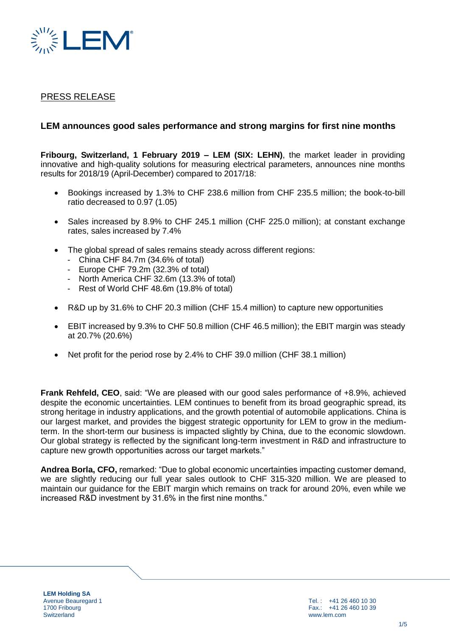

## PRESS RELEASE

## **LEM announces good sales performance and strong margins for first nine months**

**Fribourg, Switzerland, 1 February 2019 – LEM (SIX: LEHN)**, the market leader in providing innovative and high-quality solutions for measuring electrical parameters, announces nine months results for 2018/19 (April-December) compared to 2017/18:

- Bookings increased by 1.3% to CHF 238.6 million from CHF 235.5 million; the book-to-bill ratio decreased to 0.97 (1.05)
- Sales increased by 8.9% to CHF 245.1 million (CHF 225.0 million); at constant exchange rates, sales increased by 7.4%
- The global spread of sales remains steady across different regions:
	- China CHF 84.7m (34.6% of total)
	- Europe CHF 79.2m (32.3% of total)
	- North America CHF 32.6m (13.3% of total)
	- Rest of World CHF 48.6m (19.8% of total)
- R&D up by 31.6% to CHF 20.3 million (CHF 15.4 million) to capture new opportunities
- EBIT increased by 9.3% to CHF 50.8 million (CHF 46.5 million); the EBIT margin was steady at 20.7% (20.6%)
- Net profit for the period rose by 2.4% to CHF 39.0 million (CHF 38.1 million)

**Frank Rehfeld, CEO**, said: "We are pleased with our good sales performance of +8.9%, achieved despite the economic uncertainties. LEM continues to benefit from its broad geographic spread, its strong heritage in industry applications, and the growth potential of automobile applications. China is our largest market, and provides the biggest strategic opportunity for LEM to grow in the mediumterm. In the short-term our business is impacted slightly by China, due to the economic slowdown. Our global strategy is reflected by the significant long-term investment in R&D and infrastructure to capture new growth opportunities across our target markets."

**Andrea Borla, CFO,** remarked: "Due to global economic uncertainties impacting customer demand, we are slightly reducing our full year sales outlook to CHF 315-320 million. We are pleased to maintain our guidance for the EBIT margin which remains on track for around 20%, even while we increased R&D investment by 31.6% in the first nine months."

**LEM Holding SA** Avenue Beauregard 1 1700 Fribourg **Switzerland** 

Tel. : +41 26 460 10 30 Fax.: +41 26 460 10 39 www.lem.com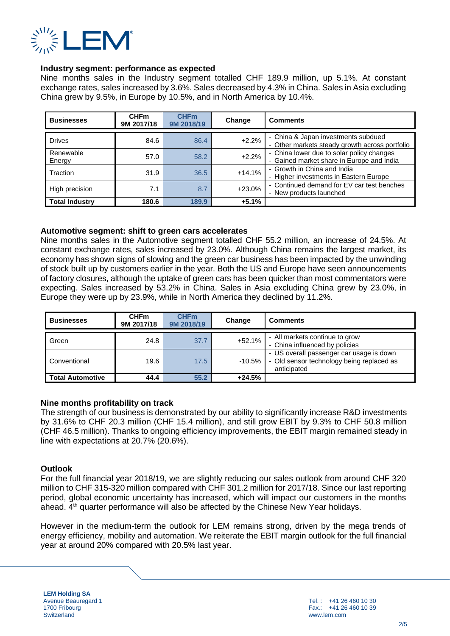

#### **Industry segment: performance as expected**

Nine months sales in the Industry segment totalled CHF 189.9 million, up 5.1%. At constant exchange rates, sales increased by 3.6%. Sales decreased by 4.3% in China. Sales in Asia excluding China grew by 9.5%, in Europe by 10.5%, and in North America by 10.4%.

| <b>Businesses</b>     | <b>CHFm</b><br>9M 2017/18 | <b>CHFm</b><br>9M 2018/19 | Change   | <b>Comments</b>                                                                        |
|-----------------------|---------------------------|---------------------------|----------|----------------------------------------------------------------------------------------|
| <b>Drives</b>         | 84.6                      | 86.4                      | $+2.2%$  | - China & Japan investments subdued<br>- Other markets steady growth across portfolio  |
| Renewable<br>Energy   | 57.0                      | 58.2                      | $+2.2%$  | - China lower due to solar policy changes<br>- Gained market share in Europe and India |
| Traction              | 31.9                      | 36.5                      | $+14.1%$ | - Growth in China and India<br>- Higher investments in Eastern Europe                  |
| High precision        | 7.1                       | 8.7                       | $+23.0%$ | - Continued demand for EV car test benches<br>- New products launched                  |
| <b>Total Industry</b> | 180.6                     | 189.9                     | $+5.1%$  |                                                                                        |

#### **Automotive segment: shift to green cars accelerates**

Nine months sales in the Automotive segment totalled CHF 55.2 million, an increase of 24.5%. At constant exchange rates, sales increased by 23.0%. Although China remains the largest market, its economy has shown signs of slowing and the green car business has been impacted by the unwinding of stock built up by customers earlier in the year. Both the US and Europe have seen announcements of factory closures, although the uptake of green cars has been quicker than most commentators were expecting. Sales increased by 53.2% in China. Sales in Asia excluding China grew by 23.0%, in Europe they were up by 23.9%, while in North America they declined by 11.2%.

| <b>Businesses</b>       | <b>CHFm</b><br>9M 2017/18 | <b>CHFm</b><br>9M 2018/19 | Change   | <b>Comments</b>                                                                                      |
|-------------------------|---------------------------|---------------------------|----------|------------------------------------------------------------------------------------------------------|
| Green                   | 24.8                      | 37.7                      | +52.1%   | - All markets continue to grow<br>- China influenced by policies                                     |
| Conventional            | 19.6                      | 17.5                      | -10.5%   | - US overall passenger car usage is down<br>- Old sensor technology being replaced as<br>anticipated |
| <b>Total Automotive</b> | 44.4                      | 55.2                      | $+24.5%$ |                                                                                                      |

#### **Nine months profitability on track**

The strength of our business is demonstrated by our ability to significantly increase R&D investments by 31.6% to CHF 20.3 million (CHF 15.4 million), and still grow EBIT by 9.3% to CHF 50.8 million (CHF 46.5 million). Thanks to ongoing efficiency improvements, the EBIT margin remained steady in line with expectations at 20.7% (20.6%).

## **Outlook**

For the full financial year 2018/19, we are slightly reducing our sales outlook from around CHF 320 million to CHF 315-320 million compared with CHF 301.2 million for 2017/18. Since our last reporting period, global economic uncertainty has increased, which will impact our customers in the months ahead.  $4<sup>th</sup>$  quarter performance will also be affected by the Chinese New Year holidays.

However in the medium-term the outlook for LEM remains strong, driven by the mega trends of energy efficiency, mobility and automation. We reiterate the EBIT margin outlook for the full financial year at around 20% compared with 20.5% last year.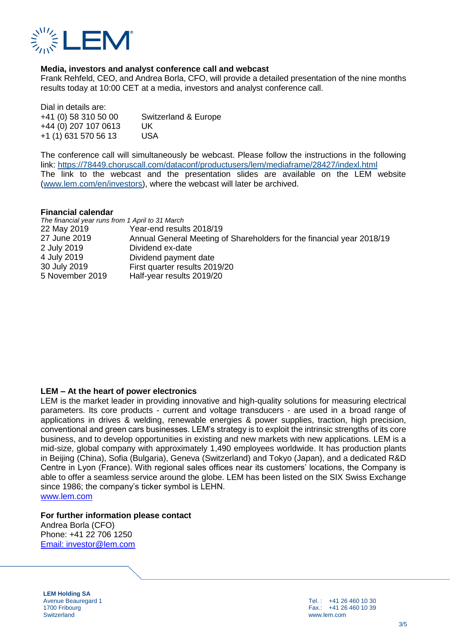

### **Media, investors and analyst conference call and webcast**

Frank Rehfeld, CEO, and Andrea Borla, CFO, will provide a detailed presentation of the nine months results today at 10:00 CET at a media, investors and analyst conference call.

Dial in details are: +41 (0) 58 310 50 00 Switzerland & Europe +44 (0) 207 107 0613 UK +1 (1) 631 570 56 13 USA

The conference call will simultaneously be webcast. Please follow the instructions in the following link:<https://78449.choruscall.com/dataconf/productusers/lem/mediaframe/28427/indexl.html> The link to the webcast and the presentation slides are available on the LEM website [\(www.lem.com/en/investors\)](http://www.lem.com/en/investors), where the webcast will later be archived.

#### **Financial calendar**

| The financial year runs from 1 April to 31 March |                                                                       |
|--------------------------------------------------|-----------------------------------------------------------------------|
| 22 May 2019                                      | Year-end results 2018/19                                              |
| 27 June 2019                                     | Annual General Meeting of Shareholders for the financial year 2018/19 |
| 2 July 2019                                      | Dividend ex-date                                                      |
| 4 July 2019                                      | Dividend payment date                                                 |
| 30 July 2019                                     | First quarter results 2019/20                                         |
| 5 November 2019                                  | Half-year results 2019/20                                             |

#### **LEM – At the heart of power electronics**

LEM is the market leader in providing innovative and high-quality solutions for measuring electrical parameters. Its core products - current and voltage transducers - are used in a broad range of applications in drives & welding, renewable energies & power supplies, traction, high precision, conventional and green cars businesses. LEM's strategy is to exploit the intrinsic strengths of its core business, and to develop opportunities in existing and new markets with new applications. LEM is a mid-size, global company with approximately 1,490 employees worldwide. It has production plants in Beijing (China), Sofia (Bulgaria), Geneva (Switzerland) and Tokyo (Japan), and a dedicated R&D Centre in Lyon (France). With regional sales offices near its customers' locations, the Company is able to offer a seamless service around the globe. LEM has been listed on the SIX Swiss Exchange since 1986; the company's ticker symbol is LEHN.

[www.lem.com](http://www.lem.com/)

#### **For further information please contact**

Andrea Borla (CFO) Phone: +41 22 706 1250 [Email: i](mailto:investor@lem.com)nvestor@lem.com

**LEM Holding SA** Avenue Beauregard 1 1700 Fribourg **Switzerland** 

Tel. : +41 26 460 10 30 Fax.: +41 26 460 10 39 www.lem.com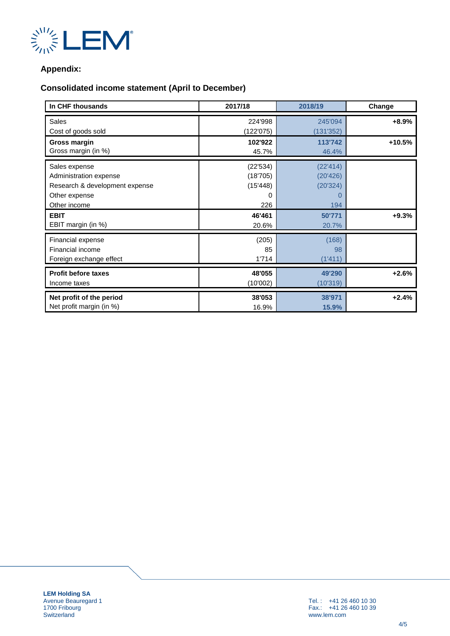

## **Appendix:**

# **Consolidated income statement (April to December)**

| In CHF thousands               | 2017/18   | 2018/19       | Change  |
|--------------------------------|-----------|---------------|---------|
| <b>Sales</b>                   | 224'998   | 245'094       | +8.9%   |
| Cost of goods sold             | (122'075) | (131'352)     |         |
| Gross margin                   | 102'922   | 113'742       | +10.5%  |
| Gross margin (in %)            | 45.7%     | 46.4%         |         |
| Sales expense                  | (22'534)  | (22'414)      |         |
| Administration expense         | (18'705)  | (20'426)      |         |
| Research & development expense | (15'448)  | (20'324)      |         |
| Other expense                  | 0         | $\mathcal{L}$ |         |
| Other income                   | 226       | 194           |         |
| <b>EBIT</b>                    | 46'461    | 50'771        | $+9.3%$ |
| EBIT margin (in %)             | 20.6%     | 20.7%         |         |
| Financial expense              | (205)     | (168)         |         |
| Financial income               | 85        | 98            |         |
| Foreign exchange effect        | 1'714     | (1'411)       |         |
| <b>Profit before taxes</b>     | 48'055    | 49'290        | $+2.6%$ |
| Income taxes                   | (10'002)  | (10'319)      |         |
| Net profit of the period       | 38'053    | 38'971        | $+2.4%$ |
| Net profit margin (in %)       | 16.9%     | 15.9%         |         |